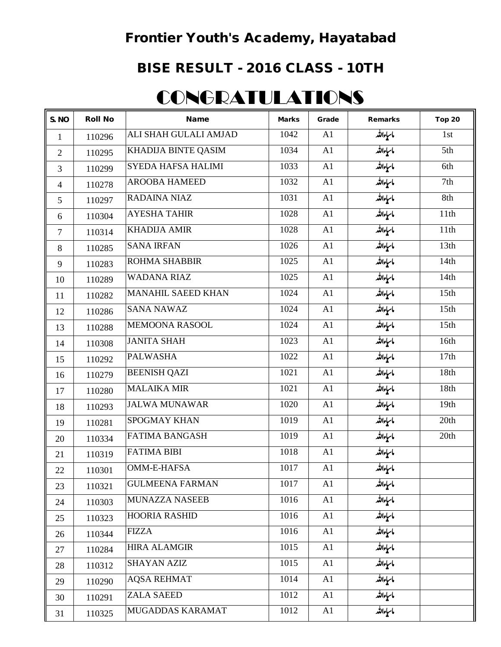## Frontier Youth's Academy, Hayatabad

## BISE RESULT - 2016 CLASS - 10TH

## **CONGRATULATIONS**

| S. NO          | <b>Roll No</b> | <b>Name</b>               | <b>Marks</b> | Grade | <b>Remarks</b> | <b>Top 20</b>    |
|----------------|----------------|---------------------------|--------------|-------|----------------|------------------|
| $\mathbf{1}$   | 110296         | ALI SHAH GULALI AMJAD     | 1042         | A1    | ماسإءالله      | 1st              |
| $\overline{2}$ | 110295         | KHADIJA BINTE QASIM       | 1034         | A1    | ماسإءالله      | 5th              |
| 3              | 110299         | SYEDA HAFSA HALIMI        | 1033         | A1    | ماسإءالله      | 6th              |
| $\overline{4}$ | 110278         | <b>AROOBA HAMEED</b>      | 1032         | A1    | ماسإءالله      | 7th              |
| 5              | 110297         | <b>RADAINA NIAZ</b>       | 1031         | A1    | ماسياءاللد     | 8th              |
| 6              | 110304         | <b>AYESHA TAHIR</b>       | 1028         | A1    | ماسإءالله      | 11th             |
| $\tau$         | 110314         | <b>KHADIJA AMIR</b>       | 1028         | A1    | ماسإءالله      | 11th             |
| 8              | 110285         | <b>SANA IRFAN</b>         | 1026         | A1    | ماسإءالله      | 13th             |
| 9              | 110283         | ROHMA SHABBIR             | 1025         | A1    | ماسإءالله      | 14th             |
| 10             | 110289         | <b>WADANA RIAZ</b>        | 1025         | A1    | ماسإءالله      | 14th             |
| 11             | 110282         | <b>MANAHIL SAEED KHAN</b> | 1024         | A1    | ماسإءالله      | 15 <sub>th</sub> |
| 12             | 110286         | <b>SANA NAWAZ</b>         | 1024         | A1    | ماسإءالله      | 15th             |
| 13             | 110288         | MEMOONA RASOOL            | 1024         | A1    | ماسياءاللد     | 15th             |
| 14             | 110308         | <b>JANITA SHAH</b>        | 1023         | A1    | ماسإءالله      | 16th             |
| 15             | 110292         | <b>PALWASHA</b>           | 1022         | A1    | ماسإءالله      | 17th             |
| 16             | 110279         | <b>BEENISH QAZI</b>       | 1021         | A1    | ماسإءالله      | 18th             |
| 17             | 110280         | <b>MALAIKA MIR</b>        | 1021         | A1    | ماسإءالله      | 18th             |
| 18             | 110293         | <b>JALWA MUNAWAR</b>      | 1020         | A1    | ماسإءالله      | 19th             |
| 19             | 110281         | <b>SPOGMAY KHAN</b>       | 1019         | A1    | ماسإءالله      | 20th             |
| 20             | 110334         | <b>FATIMA BANGASH</b>     | 1019         | A1    | ماسإءالله      | 20th             |
| 21             | 110319         | <b>FATIMA BIBI</b>        | 1018         | A1    | ماسإءالله      |                  |
| 22             | 110301         | <b>OMM-E-HAFSA</b>        | 1017         | A1    | ماسإءالله      |                  |
| 23             | 110321         | <b>GULMEENA FARMAN</b>    | 1017         | A1    | ماسإءالله      |                  |
| 24             | 110303         | <b>MUNAZZA NASEEB</b>     | 1016         | A1    | ماسإءالله      |                  |
| 25             | 110323         | <b>HOORIA RASHID</b>      | 1016         | A1    | ماسإءالله      |                  |
| 26             | 110344         | <b>FIZZA</b>              | 1016         | A1    | ماسإءاللد      |                  |
| 27             | 110284         | <b>HIRA ALAMGIR</b>       | 1015         | A1    | ماسإءالله      |                  |
| 28             | 110312         | <b>SHAYAN AZIZ</b>        | 1015         | A1    | ماسإءالله      |                  |
| 29             | 110290         | <b>AQSA REHMAT</b>        | 1014         | A1    | ماسإءالله      |                  |
| 30             | 110291         | <b>ZALA SAEED</b>         | 1012         | A1    | ماسإءاللد      |                  |
| 31             | 110325         | MUGADDAS KARAMAT          | 1012         | A1    | ماسإءالله      |                  |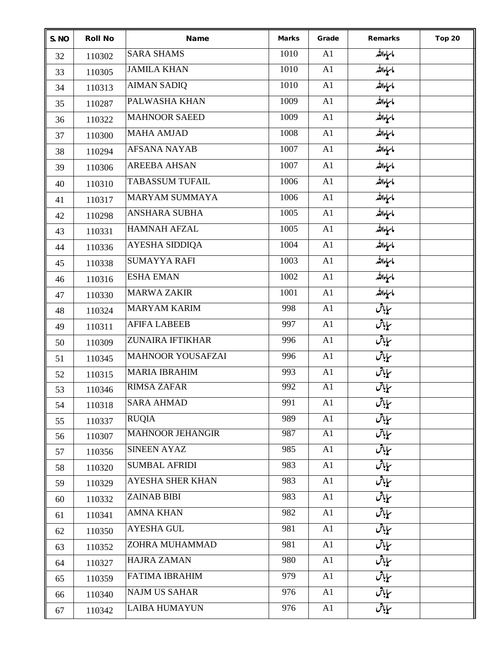| S. NO | <b>Roll No</b> | <b>Name</b>              | <b>Marks</b> | Grade | <b>Remarks</b>     | <b>Top 20</b> |
|-------|----------------|--------------------------|--------------|-------|--------------------|---------------|
| 32    | 110302         | <b>SARA SHAMS</b>        | 1010         | A1    | ماسإءالله          |               |
| 33    | 110305         | <b>JAMILA KHAN</b>       | 1010         | A1    | ماسإءالله          |               |
| 34    | 110313         | <b>AIMAN SADIQ</b>       | 1010         | A1    | ماسإءالله          |               |
| 35    | 110287         | PALWASHA KHAN            | 1009         | A1    | ماسياءالله         |               |
| 36    | 110322         | <b>MAHNOOR SAEED</b>     | 1009         | A1    | ماسإءالله          |               |
| 37    | 110300         | <b>MAHA AMJAD</b>        | 1008         | A1    | ماسإءالله          |               |
| 38    | 110294         | <b>AFSANA NAYAB</b>      | 1007         | A1    | ماسياءالله         |               |
| 39    | 110306         | <b>AREEBA AHSAN</b>      | 1007         | A1    | ماسإءالله          |               |
| 40    | 110310         | <b>TABASSUM TUFAIL</b>   | 1006         | A1    | ماسإءالله          |               |
| 41    | 110317         | <b>MARYAM SUMMAYA</b>    | 1006         | A1    | ماسإءالله          |               |
| 42    | 110298         | <b>ANSHARA SUBHA</b>     | 1005         | A1    | ماسإءالله          |               |
| 43    | 110331         | <b>HAMNAH AFZAL</b>      | 1005         | A1    | ماسإءالله          |               |
| 44    | 110336         | AYESHA SIDDIQA           | 1004         | A1    | ماسياءالله         |               |
| 45    | 110338         | <b>SUMAYYA RAFI</b>      | 1003         | A1    | ماسياءالله         |               |
| 46    | 110316         | <b>ESHA EMAN</b>         | 1002         | A1    | ماسياءالله         |               |
| 47    | 110330         | <b>MARWA ZAKIR</b>       | 1001         | A1    | ماسياءالله         |               |
| 48    | 110324         | <b>MARYAM KARIM</b>      | 998          | A1    | سایاش<br>ملی       |               |
| 49    | 110311         | <b>AFIFA LABEEB</b>      | 997          | A1    | سایاش<br>ملی       |               |
| 50    | 110309         | ZUNAIRA IFTIKHAR         | 996          | A1    | سایاش<br>م         |               |
| 51    | 110345         | <b>MAHNOOR YOUSAFZAI</b> | 996          | A1    | سپایاش             |               |
| 52    | 110315         | <b>MARIA IBRAHIM</b>     | 993          | A1    | س <b>ا</b> باش     |               |
| 53    | 110346         | <b>RIMSA ZAFAR</b>       | 992          | A1    | س <u>پای</u> ش     |               |
| 54    | 110318         | <b>SARA AHMAD</b>        | 991          | A1    | سإباش              |               |
| 55    | 110337         | <b>RUQIA</b>             | 989          | A1    | سایاش<br>م         |               |
| 56    | 110307         | <b>MAHNOOR JEHANGIR</b>  | 987          | A1    | سپایا <sup>ش</sup> |               |
| 57    | 110356         | <b>SINEEN AYAZ</b>       | 985          | A1    | سایاش<br>م         |               |
| 58    | 110320         | <b>SUMBAL AFRIDI</b>     | 983          | A1    | س <b>ا</b> باش     |               |
| 59    | 110329         | AYESHA SHER KHAN         | 983          | A1    | سایاش<br>مایاش     |               |
| 60    | 110332         | <b>ZAINAB BIBI</b>       | 983          | A1    | سپایاش             |               |
| 61    | 110341         | <b>AMNA KHAN</b>         | 982          | A1    | سپایاش             |               |
| 62    | 110350         | <b>AYESHA GUL</b>        | 981          | A1    | سایاتش             |               |
| 63    | 110352         | ZOHRA MUHAMMAD           | 981          | A1    | سایاش<br>م         |               |
| 64    | 110327         | <b>HAJRA ZAMAN</b>       | 980          | A1    | سایاش<br>م         |               |
| 65    | 110359         | <b>FATIMA IBRAHIM</b>    | 979          | A1    | سپایاش             |               |
| 66    | 110340         | <b>NAJM US SAHAR</b>     | 976          | A1    | سپایاش             |               |
| 67    | 110342         | <b>LAIBA HUMAYUN</b>     | 976          | A1    | س <u>پای</u> ش     |               |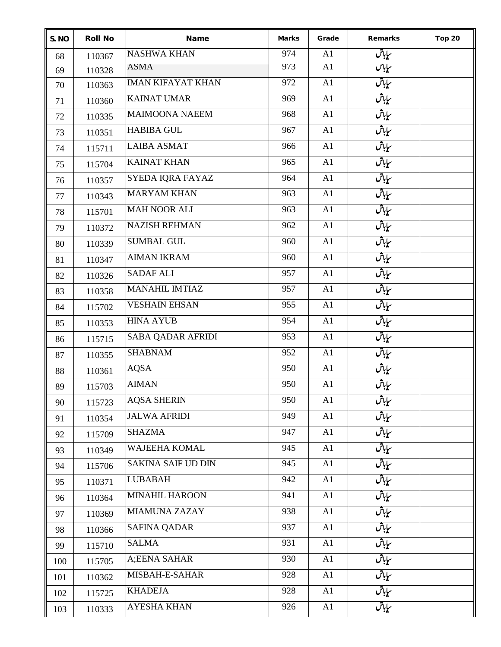| S. NO | <b>Roll No</b> | <b>Name</b>               | <b>Marks</b> | Grade | <b>Remarks</b>                  | <b>Top 20</b> |
|-------|----------------|---------------------------|--------------|-------|---------------------------------|---------------|
| 68    | 110367         | <b>NASHWA KHAN</b>        | 974          | A1    | سایاش                           |               |
| 69    | 110328         | <b>ASMA</b>               | 973          | AI    | سبابان                          |               |
| 70    | 110363         | <b>IMAN KIFAYAT KHAN</b>  | 972          | A1    | س <u>پای</u> ش                  |               |
| 71    | 110360         | <b>KAINAT UMAR</b>        | 969          | A1    | سایاش<br>مفی <sup>ا</sup> ت     |               |
| 72    | 110335         | <b>MAIMOONA NAEEM</b>     | 968          | A1    | ساپاڻي $\overline{\mathcal{C}}$ |               |
| 73    | 110351         | <b>HABIBA GUL</b>         | 967          | A1    | سياباش                          |               |
| 74    | 115711         | <b>LAIBA ASMAT</b>        | 966          | A1    | سياباش                          |               |
| 75    | 115704         | <b>KAINAT KHAN</b>        | 965          | A1    | سإباش                           |               |
| 76    | 110357         | SYEDA IQRA FAYAZ          | 964          | A1    | سپایاش                          |               |
| 77    | 110343         | <b>MARYAM KHAN</b>        | 963          | A1    | سإباش                           |               |
| 78    | 115701         | <b>MAH NOOR ALI</b>       | 963          | A1    | سياباش                          |               |
| 79    | 110372         | <b>NAZISH REHMAN</b>      | 962          | A1    | سایاش<br>مفی <sup>ا</sup> ت     |               |
| 80    | 110339         | <b>SUMBAL GUL</b>         | 960          | A1    | ساپاڻي $\overline{\mathcal{C}}$ |               |
| 81    | 110347         | <b>AIMAN IKRAM</b>        | 960          | A1    | سإباش                           |               |
| 82    | 110326         | <b>SADAF ALI</b>          | 957          | A1    | سإباش                           |               |
| 83    | 110358         | <b>MANAHIL IMTIAZ</b>     | 957          | A1    | سپایاش                          |               |
| 84    | 115702         | <b>VESHAIN EHSAN</b>      | 955          | A1    | سایاش<br>ملیات                  |               |
| 85    | 110353         | <b>HINA AYUB</b>          | 954          | A1    | سپایاش<br>م                     |               |
| 86    | 115715         | <b>SABA QADAR AFRIDI</b>  | 953          | A1    | س <u>پای</u> اش                 |               |
| 87    | 110355         | <b>SHABNAM</b>            | 952          | A1    | س <b>ا</b> باش                  |               |
| 88    | 110361         | <b>AQSA</b>               | 950          | A1    | س <u>پای</u> ش                  |               |
| 89    | 115703         | <b>AIMAN</b>              | 950          | A1    | س <b>ا</b> باش                  |               |
| 90    | 115723         | <b>AQSA SHERIN</b>        | 950          | A1    | سإباش                           |               |
| 91    | 110354         | <b>JALWA AFRIDI</b>       | 949          | A1    | سایاش<br>م                      |               |
| 92    | 115709         | <b>SHAZMA</b>             | 947          | A1    | سپایاش                          |               |
| 93    | 110349         | <b>WAJEEHA KOMAL</b>      | 945          | A1    | سپایاش                          |               |
| 94    | 115706         | <b>SAKINA SAIF UD DIN</b> | 945          | A1    | سپایاش                          |               |
| 95    | 110371         | <b>LUBABAH</b>            | 942          | A1    | سایاش<br>مایاش                  |               |
| 96    | 110364         | <b>MINAHIL HAROON</b>     | 941          | A1    | سپایاش<br>ملی                   |               |
| 97    | 110369         | <b>MIAMUNA ZAZAY</b>      | 938          | A1    | سایاش<br>م                      |               |
| 98    | 110366         | <b>SAFINA QADAR</b>       | 937          | A1    | سپایاش<br>م <u>ل</u> ا          |               |
| 99    | 115710         | <b>SALMA</b>              | 931          | A1    | سایاش<br>مایاش                  |               |
| 100   | 115705         | A;EENA SAHAR              | 930          | A1    | سایاش<br>م                      |               |
| 101   | 110362         | MISBAH-E-SAHAR            | 928          | A1    | سپایاش                          |               |
| 102   | 115725         | <b>KHADEJA</b>            | 928          | A1    | سپایاش                          |               |
| 103   | 110333         | <b>AYESHA KHAN</b>        | 926          | A1    | سمایاش                          |               |